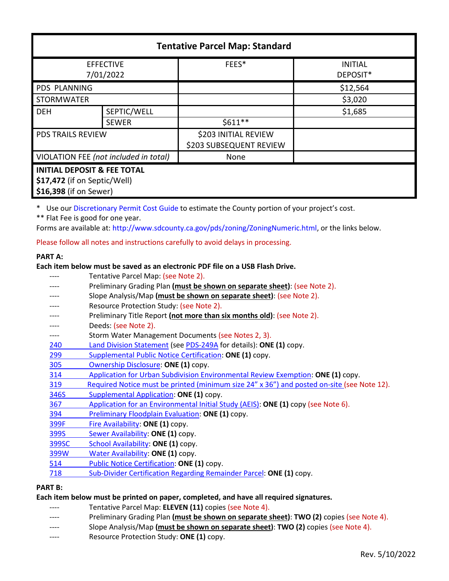| <b>Tentative Parcel Map: Standard</b>                                                            |              |                                                 |                            |  |  |
|--------------------------------------------------------------------------------------------------|--------------|-------------------------------------------------|----------------------------|--|--|
| <b>EFFECTIVE</b><br>7/01/2022                                                                    |              | FEES*                                           | <b>INITIAL</b><br>DEPOSIT* |  |  |
| <b>PDS PLANNING</b>                                                                              |              |                                                 | \$12,564                   |  |  |
| <b>STORMWATER</b>                                                                                |              |                                                 | \$3,020                    |  |  |
| <b>DEH</b>                                                                                       | SEPTIC/WELL  |                                                 | \$1,685                    |  |  |
|                                                                                                  | <b>SEWER</b> | $$611**$$                                       |                            |  |  |
| <b>PDS TRAILS REVIEW</b>                                                                         |              | \$203 INITIAL REVIEW<br>\$203 SUBSEQUENT REVIEW |                            |  |  |
| VIOLATION FEE (not included in total)                                                            |              | None                                            |                            |  |  |
| <b>INITIAL DEPOSIT &amp; FEE TOTAL</b><br>\$17,472 (if on Septic/Well)<br>\$16,398 (if on Sewer) |              |                                                 |                            |  |  |

\* Use our [Discretionary Permit Cost Guide](http://www.sandiegocounty.gov/content/dam/sdc/pds/docs/Discretionary_Permit_Cost_Guide.xlsx) to estimate the County portion of your project's cost.

\*\* Flat Fee is good for one year.

Forms are available at: [http://www.sdcounty.ca.gov/pds/zoning/ZoningNumeric.html,](http://www.sdcounty.ca.gov/pds/zoning/ZoningNumeric.html) or the links below.

Please follow all notes and instructions carefully to avoid delays in processing.

### **PART A:**

# **Each item below must be saved as an electronic PDF file on a USB Flash Drive.**

|            | Tentative Parcel Map: (see Note 2).                                                        |
|------------|--------------------------------------------------------------------------------------------|
|            | Preliminary Grading Plan (must be shown on separate sheet): (see Note 2).                  |
|            | Slope Analysis/Map (must be shown on separate sheet): (see Note 2).                        |
|            | Resource Protection Study: (see Note 2).                                                   |
|            | Preliminary Title Report (not more than six months old): (see Note 2).                     |
|            | Deeds: (see Note 2).                                                                       |
|            | Storm Water Management Documents (see Notes 2, 3).                                         |
| 240        | Land Division Statement (see PDS-249A for details): ONE (1) copy.                          |
| 299        | Supplemental Public Notice Certification: ONE (1) copy.                                    |
| <b>305</b> | Ownership Disclosure: ONE (1) copy.                                                        |
| 314        | Application for Urban Subdivision Environmental Review Exemption: ONE (1) copy.            |
| 319        | Required Notice must be printed (minimum size 24" x 36") and posted on-site (see Note 12). |
| 346S       | Supplemental Application: ONE (1) copy.                                                    |
| 367        | Application for an Environmental Initial Study (AEIS): ONE (1) copy (see Note 6).          |
| 394        | Preliminary Floodplain Evaluation: ONE (1) copy.                                           |
| 399F       | Fire Availability: ONE (1) copy.                                                           |
| 399S       | Sewer Availability: ONE (1) copy.                                                          |
| 399SC      | School Availability: ONE (1) copy.                                                         |
| 399W       | Water Availability: ONE (1) copy.                                                          |
| 514        | Public Notice Certification: ONE (1) copy.                                                 |
| 718        | Sub-Divider Certification Regarding Remainder Parcel: ONE (1) copy.                        |
|            |                                                                                            |

# **PART B:**

# **Each item below must be printed on paper, completed, and have all required signatures.**

- ---- Tentative Parcel Map: **ELEVEN (11)** copies (see Note 4).
- ---- Preliminary Grading Plan **(must be shown on separate sheet)**: **TWO (2)** copies (see Note 4).
- ---- Slope Analysis/Map **(must be shown on separate sheet)**: **TWO (2)** copies (see Note 4).
- ---- Resource Protection Study: **ONE (1)** copy.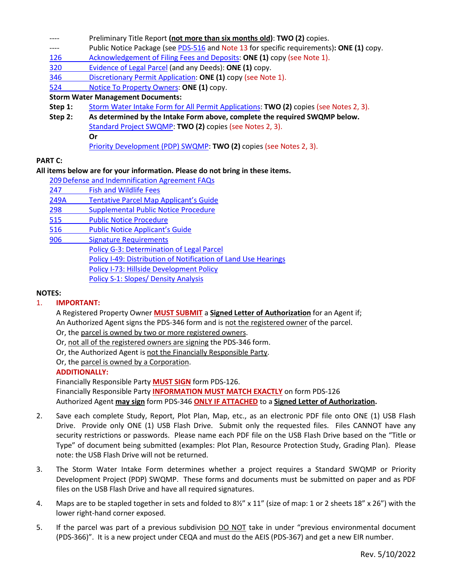- Preliminary Title Report (not more than six months old): **TWO (2)** copies.
- ---- Public Notice Package (se[e PDS-516 a](http://www.sdcounty.ca.gov/pds/zoning/formfields/PDS-PLN-516.pdf)nd Note 13 for specific requirements)**: ONE (1)** copy.
- [126 Acknowledgement of Filing Fees and Deposits:](http://www.sdcounty.ca.gov/pds/zoning/formfields/PDS-PLN-126.pdf) **ONE (1)** copy (see Note 1).
- [320 Evidence of](http://www.sdcounty.ca.gov/pds/zoning/formfields/PDS-PLN-320.pdf) Legal Parcel (and any Deeds): **ONE (1)** copy.
- 346 [Discretionary Permit Application:](http://www.sdcounty.ca.gov/pds/zoning/formfields/PDS-PLN-346.pdf) **ONE (1)** copy (see Note 1).
- 524 [Notice To Property Owners:](http://www.sdcounty.ca.gov/pds/zoning/formfields/PDS-PLN-524.pdf) **ONE (1)** copy.

### **Storm Water Management Documents:**

- **Step 1:** [Storm Water Intake Form for All Permit Applications:](http://www.sandiegocounty.gov/content/dam/sdc/pds/zoning/formfields/SWQMP-Intake-Form.pdf) **TWO (2)** copies (see Notes 2, 3).
- **Step 2: As determined by the Intake Form above, complete the required SWQMP below.** [Standard Project SWQMP:](http://www.sandiegocounty.gov/content/dam/sdc/pds/zoning/formfields/SWQMP-Standard.pdf) **TWO (2)** copies (see Notes 2, 3). **Or** [Priority Development \(PDP\) SWQMP:](https://www.sandiegocounty.gov/content/sdc/dpw/watersheds/DevelopmentandConstruction/BMP_Design_Manual.html) **TWO (2)** copies (see Notes 2, 3).

### **PART C:**

### **All items below are for your information. Please do not bring in these items.**

- [209Defense and Indemnification Agreement FAQs](http://www.sdcounty.ca.gov/pds/zoning/formfields/PDS-PLN-209.pdf)
- [247 Fish and Wildlife](http://www.sdcounty.ca.gov/pds/zoning/formfields/PDS-PLN-247.pdf) Fees
- [249A Tentative Parcel Map Applicant's Guide](http://www.sdcounty.ca.gov/pds/zoning/formfields/PDS-PLN-249A.pdf)
- [298 Supplemental Public Notice Procedure](http://www.sdcounty.ca.gov/pds/zoning/formfields/PDS-PLN-298.pdf)
- [515 Public Notice Procedure](http://www.sdcounty.ca.gov/pds/zoning/formfields/PDS-PLN-515.pdf)
- [516 Public Notice Applicant's Guide](http://www.sdcounty.ca.gov/pds/zoning/formfields/PDS-PLN-516.pdf)
- [906 Signature Requirements](http://www.sdcounty.ca.gov/pds/zoning/formfields/PDS-PLN-906.pdf)

[Policy G-3: Determination of Legal Parcel](http://www.sdcounty.ca.gov/pds/zoning/formfields/POLICY-G-3.pdf) [Policy I-49: Distribution of Notification](http://www.sdcounty.ca.gov/cob/docs/policy/I-49.pdf) of Land Use Hearings

- [Policy I-73: Hillside Development Policy](http://www.sdcounty.ca.gov/cob/docs/policy/I-73.pdf)
- [Policy S-1: Slopes/](http://www.sdcounty.ca.gov/pds/zoning/formfields/POLICY-S-1.pdf) Density Analysis

#### **NOTES:**

### 1. **IMPORTANT:**

A Registered Property Owner **MUST SUBMIT** a **Signed Letter of Authorization** for an Agent if; An Authorized Agent signs the PDS-346 form and is not the registered owner of the parcel.

- Or, the parcel is owned by two or more registered owners.
- Or, not all of the registered owners are signing the PDS-346 form.
- Or, the Authorized Agent is not the Financially Responsible Party.

Or, the parcel is owned by a Corporation.

#### **ADDITIONALLY:**

Financially Responsible Party **MUST SIGN** form PDS-126. Financially Responsible Party **INFORMATION MUST MATCH EXACTLY** on form PDS-126 Authorized Agent **may sign** form PDS-346 **ONLY IF ATTACHED** to a **Signed Letter of Authorization.** 

- 2. Save each complete Study, Report, Plot Plan, Map, etc., as an electronic PDF file onto ONE (1) USB Flash Drive. Provide only ONE (1) USB Flash Drive. Submit only the requested files. Files CANNOT have any security restrictions or passwords. Please name each PDF file on the USB Flash Drive based on the "Title or Type" of document being submitted (examples: Plot Plan, Resource Protection Study, Grading Plan). Please note: the USB Flash Drive will not be returned.
- 3. The Storm Water Intake Form determines whether a project requires a Standard SWQMP or Priority Development Project (PDP) SWQMP. These forms and documents must be submitted on paper and as PDF files on the USB Flash Drive and have all required signatures.
- 4. Maps are to be stapled together in sets and folded to 8½" x 11" (size of map: 1 or 2 sheets 18" x 26") with the lower right-hand corner exposed.
- 5. If the parcel was part of a previous subdivision DO NOT take in under "previous environmental document (PDS-366)". It is a new project under CEQA and must do the AEIS (PDS-367) and get a new EIR number.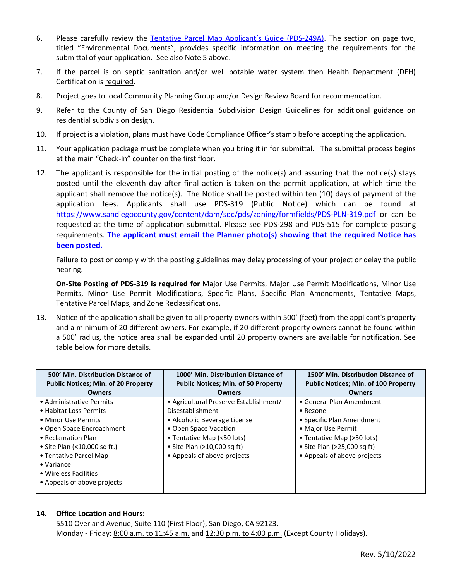- 6. Please carefully review the [Tentative Parcel Map Applicant's Guide \(PDS-249A\).](http://www.sdcounty.ca.gov/pds/zoning/formfields/PDS-PLN-249A.pdf) The section on page two, titled "Environmental Documents", provides specific information on meeting the requirements for the submittal of your application. See also Note 5 above.
- 7. If the parcel is on septic sanitation and/or well potable water system then Health Department (DEH) Certification is required.
- 8. Project goes to local Community Planning Group and/or Design Review Board for recommendation.
- 9. Refer to the County of San Diego Residential Subdivision Design Guidelines for additional guidance on residential subdivision design.
- 10. If project is a violation, plans must have Code Compliance Officer's stamp before accepting the application.
- 11. Your application package must be complete when you bring it in for submittal. The submittal process begins at the main "Check-In" counter on the first floor.
- 12. The applicant is responsible for the initial posting of the notice(s) and assuring that the notice(s) stays posted until the eleventh day after final action is taken on the permit application, at which time the applicant shall remove the notice(s). The Notice shall be posted within ten (10) days of payment of the application fees. Applicants shall use PDS-319 (Public Notice) which can be found at <https://www.sandiegocounty.gov/content/dam/sdc/pds/zoning/formfields/PDS-PLN-319.pdf> or can be requested at the time of application submittal. Please see PDS-298 and PDS-515 for complete posting requirements. **The applicant must email the Planner photo(s) showing that the required Notice has been posted.**

Failure to post or comply with the posting guidelines may delay processing of your project or delay the public hearing.

**On-Site Posting of PDS-319 is required for** Major Use Permits, Major Use Permit Modifications, Minor Use Permits, Minor Use Permit Modifications, Specific Plans, Specific Plan Amendments, Tentative Maps, Tentative Parcel Maps, and Zone Reclassifications.

13. Notice of the application shall be given to all property owners within 500' (feet) from the applicant's property and a minimum of 20 different owners. For example, if 20 different property owners cannot be found within a 500' radius, the notice area shall be expanded until 20 property owners are available for notification. See table below for more details.

| 500' Min. Distribution Distance of<br><b>Public Notices; Min. of 20 Property</b>                                                                                                                                                                                     | 1000' Min. Distribution Distance of<br><b>Public Notices; Min. of 50 Property</b>                                                                                                                                 | 1500' Min. Distribution Distance of<br><b>Public Notices; Min. of 100 Property</b>                                                                                                     |
|----------------------------------------------------------------------------------------------------------------------------------------------------------------------------------------------------------------------------------------------------------------------|-------------------------------------------------------------------------------------------------------------------------------------------------------------------------------------------------------------------|----------------------------------------------------------------------------------------------------------------------------------------------------------------------------------------|
| <b>Owners</b>                                                                                                                                                                                                                                                        | <b>Owners</b>                                                                                                                                                                                                     | <b>Owners</b>                                                                                                                                                                          |
| • Administrative Permits<br>• Habitat Loss Permits<br>• Minor Use Permits<br>• Open Space Encroachment<br>• Reclamation Plan<br>• Site Plan (<10,000 sq ft.)<br>• Tentative Parcel Map<br>$\bullet$ Variance<br>• Wireless Facilities<br>• Appeals of above projects | • Agricultural Preserve Establishment/<br>Disestablishment<br>• Alcoholic Beverage License<br>• Open Space Vacation<br>• Tentative Map (<50 lots)<br>• Site Plan $(>10,000$ sq ft)<br>• Appeals of above projects | • General Plan Amendment<br>• Rezone<br>• Specific Plan Amendment<br>• Major Use Permit<br>• Tentative Map (>50 lots)<br>• Site Plan ( $>25,000$ sq ft)<br>• Appeals of above projects |

#### **14. Office Location and Hours:**

5510 Overland Avenue, Suite 110 (First Floor), San Diego, CA 92123. Monday - Friday: 8:00 a.m. to 11:45 a.m. and 12:30 p.m. to 4:00 p.m. (Except County Holidays).